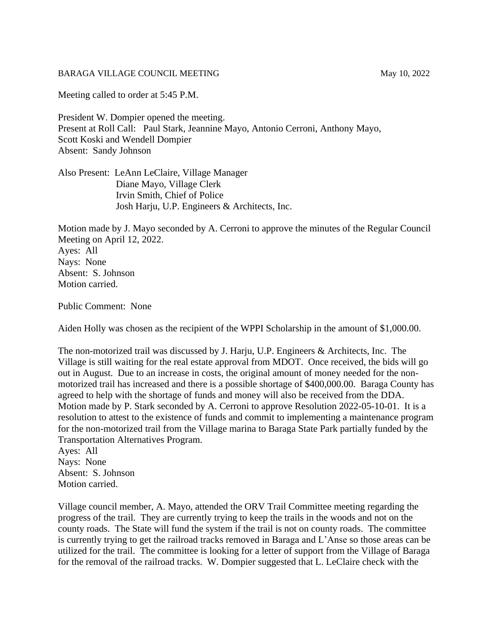## BARAGA VILLAGE COUNCIL MEETING May 10, 2022

Meeting called to order at 5:45 P.M.

President W. Dompier opened the meeting. Present at Roll Call: Paul Stark, Jeannine Mayo, Antonio Cerroni, Anthony Mayo, Scott Koski and Wendell Dompier Absent: Sandy Johnson

Also Present: LeAnn LeClaire, Village Manager Diane Mayo, Village Clerk Irvin Smith, Chief of Police Josh Harju, U.P. Engineers & Architects, Inc.

Motion made by J. Mayo seconded by A. Cerroni to approve the minutes of the Regular Council Meeting on April 12, 2022. Ayes: All Nays: None Absent: S. Johnson Motion carried.

Public Comment: None

Aiden Holly was chosen as the recipient of the WPPI Scholarship in the amount of \$1,000.00.

The non-motorized trail was discussed by J. Harju, U.P. Engineers & Architects, Inc. The Village is still waiting for the real estate approval from MDOT. Once received, the bids will go out in August. Due to an increase in costs, the original amount of money needed for the nonmotorized trail has increased and there is a possible shortage of \$400,000.00. Baraga County has agreed to help with the shortage of funds and money will also be received from the DDA. Motion made by P. Stark seconded by A. Cerroni to approve Resolution 2022-05-10-01. It is a resolution to attest to the existence of funds and commit to implementing a maintenance program for the non-motorized trail from the Village marina to Baraga State Park partially funded by the Transportation Alternatives Program.

Ayes: All Nays: None Absent: S. Johnson Motion carried.

Village council member, A. Mayo, attended the ORV Trail Committee meeting regarding the progress of the trail. They are currently trying to keep the trails in the woods and not on the county roads. The State will fund the system if the trail is not on county roads. The committee is currently trying to get the railroad tracks removed in Baraga and L'Anse so those areas can be utilized for the trail. The committee is looking for a letter of support from the Village of Baraga for the removal of the railroad tracks. W. Dompier suggested that L. LeClaire check with the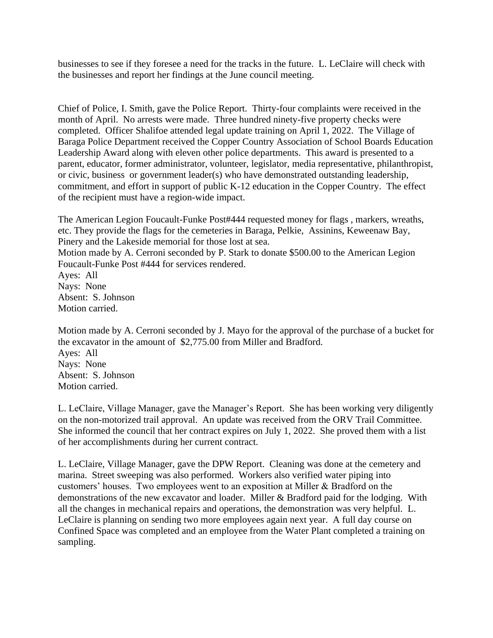businesses to see if they foresee a need for the tracks in the future. L. LeClaire will check with the businesses and report her findings at the June council meeting.

Chief of Police, I. Smith, gave the Police Report. Thirty-four complaints were received in the month of April. No arrests were made. Three hundred ninety-five property checks were completed. Officer Shalifoe attended legal update training on April 1, 2022. The Village of Baraga Police Department received the Copper Country Association of School Boards Education Leadership Award along with eleven other police departments. This award is presented to a parent, educator, former administrator, volunteer, legislator, media representative, philanthropist, or civic, business or government leader(s) who have demonstrated outstanding leadership, commitment, and effort in support of public K-12 education in the Copper Country. The effect of the recipient must have a region-wide impact.

The American Legion Foucault-Funke Post#444 requested money for flags , markers, wreaths, etc. They provide the flags for the cemeteries in Baraga, Pelkie, Assinins, Keweenaw Bay, Pinery and the Lakeside memorial for those lost at sea.

Motion made by A. Cerroni seconded by P. Stark to donate \$500.00 to the American Legion Foucault-Funke Post #444 for services rendered.

Ayes: All Nays: None Absent: S. Johnson Motion carried.

Motion made by A. Cerroni seconded by J. Mayo for the approval of the purchase of a bucket for the excavator in the amount of \$2,775.00 from Miller and Bradford. Ayes: All Nays: None Absent: S. Johnson Motion carried.

L. LeClaire, Village Manager, gave the Manager's Report. She has been working very diligently on the non-motorized trail approval. An update was received from the ORV Trail Committee. She informed the council that her contract expires on July 1, 2022. She proved them with a list of her accomplishments during her current contract.

L. LeClaire, Village Manager, gave the DPW Report. Cleaning was done at the cemetery and marina. Street sweeping was also performed. Workers also verified water piping into customers' houses. Two employees went to an exposition at Miller & Bradford on the demonstrations of the new excavator and loader. Miller & Bradford paid for the lodging. With all the changes in mechanical repairs and operations, the demonstration was very helpful. L. LeClaire is planning on sending two more employees again next year. A full day course on Confined Space was completed and an employee from the Water Plant completed a training on sampling.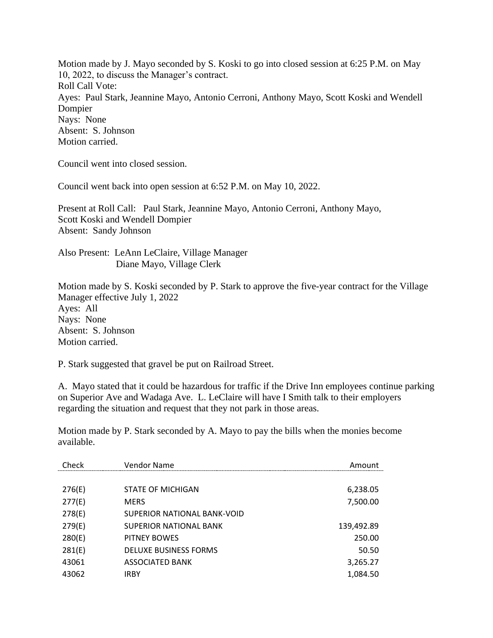Motion made by J. Mayo seconded by S. Koski to go into closed session at 6:25 P.M. on May 10, 2022, to discuss the Manager's contract. Roll Call Vote: Ayes: Paul Stark, Jeannine Mayo, Antonio Cerroni, Anthony Mayo, Scott Koski and Wendell Dompier Nays: None Absent: S. Johnson Motion carried.

Council went into closed session.

Council went back into open session at 6:52 P.M. on May 10, 2022.

Present at Roll Call: Paul Stark, Jeannine Mayo, Antonio Cerroni, Anthony Mayo, Scott Koski and Wendell Dompier Absent: Sandy Johnson

Also Present: LeAnn LeClaire, Village Manager Diane Mayo, Village Clerk

Motion made by S. Koski seconded by P. Stark to approve the five-year contract for the Village Manager effective July 1, 2022 Ayes: All Nays: None Absent: S. Johnson Motion carried.

P. Stark suggested that gravel be put on Railroad Street.

A. Mayo stated that it could be hazardous for traffic if the Drive Inn employees continue parking on Superior Ave and Wadaga Ave. L. LeClaire will have I Smith talk to their employers regarding the situation and request that they not park in those areas.

Motion made by P. Stark seconded by A. Mayo to pay the bills when the monies become available.

| Check  | Vendor Name                  | Amount     |
|--------|------------------------------|------------|
|        |                              |            |
| 276(E) | STATE OF MICHIGAN            | 6,238.05   |
| 277(E) | <b>MERS</b>                  | 7,500.00   |
| 278(E) | SUPERIOR NATIONAL BANK-VOID  |            |
| 279(E) | SUPERIOR NATIONAL BANK       | 139,492.89 |
| 280(E) | PITNEY BOWES                 | 250.00     |
| 281(E) | <b>DELUXE BUSINESS FORMS</b> | 50.50      |
| 43061  | ASSOCIATED BANK              | 3,265.27   |
| 43062  | IRBY                         | 1,084.50   |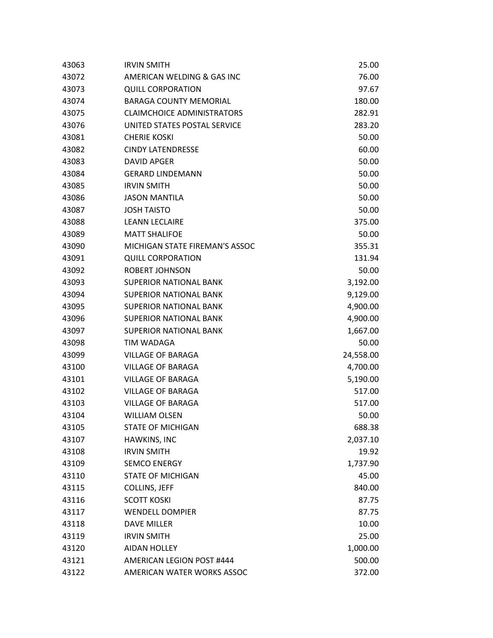| 43063 | <b>IRVIN SMITH</b>                | 25.00     |
|-------|-----------------------------------|-----------|
| 43072 | AMERICAN WELDING & GAS INC        | 76.00     |
| 43073 | <b>QUILL CORPORATION</b>          | 97.67     |
| 43074 | <b>BARAGA COUNTY MEMORIAL</b>     | 180.00    |
| 43075 | <b>CLAIMCHOICE ADMINISTRATORS</b> | 282.91    |
| 43076 | UNITED STATES POSTAL SERVICE      | 283.20    |
| 43081 | <b>CHERIE KOSKI</b>               | 50.00     |
| 43082 | <b>CINDY LATENDRESSE</b>          | 60.00     |
| 43083 | DAVID APGER                       | 50.00     |
| 43084 | <b>GERARD LINDEMANN</b>           | 50.00     |
| 43085 | <b>IRVIN SMITH</b>                | 50.00     |
| 43086 | <b>JASON MANTILA</b>              | 50.00     |
| 43087 | <b>JOSH TAISTO</b>                | 50.00     |
| 43088 | <b>LEANN LECLAIRE</b>             | 375.00    |
| 43089 | <b>MATT SHALIFOE</b>              | 50.00     |
| 43090 | MICHIGAN STATE FIREMAN'S ASSOC    | 355.31    |
| 43091 | <b>QUILL CORPORATION</b>          | 131.94    |
| 43092 | <b>ROBERT JOHNSON</b>             | 50.00     |
| 43093 | <b>SUPERIOR NATIONAL BANK</b>     | 3,192.00  |
| 43094 | <b>SUPERIOR NATIONAL BANK</b>     | 9,129.00  |
| 43095 | <b>SUPERIOR NATIONAL BANK</b>     | 4,900.00  |
| 43096 | <b>SUPERIOR NATIONAL BANK</b>     | 4,900.00  |
| 43097 | <b>SUPERIOR NATIONAL BANK</b>     | 1,667.00  |
| 43098 | TIM WADAGA                        | 50.00     |
| 43099 | <b>VILLAGE OF BARAGA</b>          | 24,558.00 |
| 43100 | <b>VILLAGE OF BARAGA</b>          | 4,700.00  |
| 43101 | <b>VILLAGE OF BARAGA</b>          | 5,190.00  |
| 43102 | <b>VILLAGE OF BARAGA</b>          | 517.00    |
| 43103 | <b>VILLAGE OF BARAGA</b>          | 517.00    |
| 43104 | <b>WILLIAM OLSEN</b>              | 50.00     |
| 43105 | <b>STATE OF MICHIGAN</b>          | 688.38    |
| 43107 | HAWKINS, INC                      | 2,037.10  |
| 43108 | <b>IRVIN SMITH</b>                | 19.92     |
| 43109 | <b>SEMCO ENERGY</b>               | 1,737.90  |
| 43110 | <b>STATE OF MICHIGAN</b>          | 45.00     |
| 43115 | <b>COLLINS, JEFF</b>              | 840.00    |
| 43116 | <b>SCOTT KOSKI</b>                | 87.75     |
| 43117 | <b>WENDELL DOMPIER</b>            | 87.75     |
| 43118 | <b>DAVE MILLER</b>                | 10.00     |
| 43119 | <b>IRVIN SMITH</b>                | 25.00     |
| 43120 | <b>AIDAN HOLLEY</b>               | 1,000.00  |
| 43121 | AMERICAN LEGION POST #444         | 500.00    |
| 43122 | AMERICAN WATER WORKS ASSOC        | 372.00    |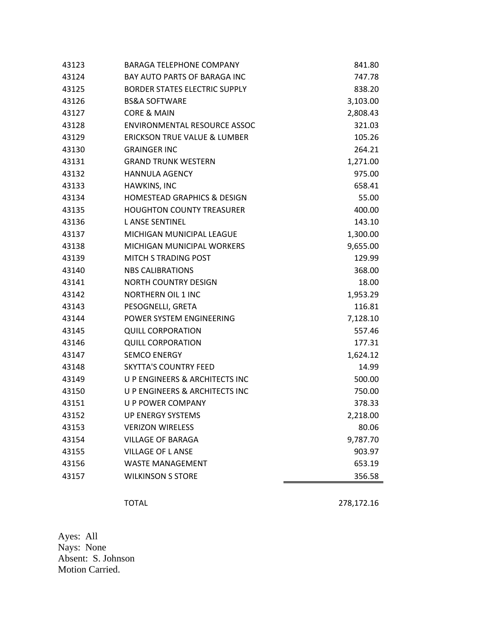| 43124<br><b>BAY AUTO PARTS OF BARAGA INC</b><br>747.78<br>43125<br><b>BORDER STATES ELECTRIC SUPPLY</b><br>838.20<br>43126<br><b>BS&amp;A SOFTWARE</b><br>3,103.00<br><b>CORE &amp; MAIN</b><br>43127<br>2,808.43<br>43128<br>ENVIRONMENTAL RESOURCE ASSOC<br>321.03<br>43129<br><b>ERICKSON TRUE VALUE &amp; LUMBER</b><br>105.26<br>43130<br><b>GRAINGER INC</b><br>264.21<br>43131<br><b>GRAND TRUNK WESTERN</b><br>1,271.00<br>43132<br><b>HANNULA AGENCY</b><br>975.00<br>43133<br>HAWKINS, INC<br>658.41<br>43134<br><b>HOMESTEAD GRAPHICS &amp; DESIGN</b><br>55.00<br><b>HOUGHTON COUNTY TREASURER</b><br>43135<br>400.00<br>43136<br><b>LANSE SENTINEL</b><br>143.10<br>43137<br>MICHIGAN MUNICIPAL LEAGUE<br>1,300.00<br>43138<br>MICHIGAN MUNICIPAL WORKERS<br>9,655.00<br><b>MITCH S TRADING POST</b><br>129.99<br>43139<br>43140<br><b>NBS CALIBRATIONS</b><br>368.00<br>43141<br><b>NORTH COUNTRY DESIGN</b><br>18.00<br>43142<br><b>NORTHERN OIL 1 INC</b><br>1,953.29<br>116.81<br>43143<br>PESOGNELLI, GRETA<br>43144<br>POWER SYSTEM ENGINEERING<br>7,128.10<br><b>QUILL CORPORATION</b><br>557.46<br>43145<br>43146<br><b>QUILL CORPORATION</b><br>177.31<br><b>SEMCO ENERGY</b><br>43147<br>1,624.12<br>43148<br><b>SKYTTA'S COUNTRY FEED</b><br>14.99<br>43149<br>U P ENGINEERS & ARCHITECTS INC<br>500.00<br>43150<br>U P ENGINEERS & ARCHITECTS INC<br>750.00<br>U P POWER COMPANY<br>43151<br>378.33<br>43152<br><b>UP ENERGY SYSTEMS</b><br>2,218.00<br>80.06<br>43153<br><b>VERIZON WIRELESS</b><br>9,787.70<br>43154<br><b>VILLAGE OF BARAGA</b><br>43155<br><b>VILLAGE OF L ANSE</b><br>903.97<br>43156<br><b>WASTE MANAGEMENT</b><br>653.19<br><b>WILKINSON S STORE</b><br>43157<br>356.58 | 43123 | <b>BARAGA TELEPHONE COMPANY</b> | 841.80 |
|-------------------------------------------------------------------------------------------------------------------------------------------------------------------------------------------------------------------------------------------------------------------------------------------------------------------------------------------------------------------------------------------------------------------------------------------------------------------------------------------------------------------------------------------------------------------------------------------------------------------------------------------------------------------------------------------------------------------------------------------------------------------------------------------------------------------------------------------------------------------------------------------------------------------------------------------------------------------------------------------------------------------------------------------------------------------------------------------------------------------------------------------------------------------------------------------------------------------------------------------------------------------------------------------------------------------------------------------------------------------------------------------------------------------------------------------------------------------------------------------------------------------------------------------------------------------------------------------------------------------------------------------------------------------------------------------------------------------------|-------|---------------------------------|--------|
|                                                                                                                                                                                                                                                                                                                                                                                                                                                                                                                                                                                                                                                                                                                                                                                                                                                                                                                                                                                                                                                                                                                                                                                                                                                                                                                                                                                                                                                                                                                                                                                                                                                                                                                         |       |                                 |        |
|                                                                                                                                                                                                                                                                                                                                                                                                                                                                                                                                                                                                                                                                                                                                                                                                                                                                                                                                                                                                                                                                                                                                                                                                                                                                                                                                                                                                                                                                                                                                                                                                                                                                                                                         |       |                                 |        |
|                                                                                                                                                                                                                                                                                                                                                                                                                                                                                                                                                                                                                                                                                                                                                                                                                                                                                                                                                                                                                                                                                                                                                                                                                                                                                                                                                                                                                                                                                                                                                                                                                                                                                                                         |       |                                 |        |
|                                                                                                                                                                                                                                                                                                                                                                                                                                                                                                                                                                                                                                                                                                                                                                                                                                                                                                                                                                                                                                                                                                                                                                                                                                                                                                                                                                                                                                                                                                                                                                                                                                                                                                                         |       |                                 |        |
|                                                                                                                                                                                                                                                                                                                                                                                                                                                                                                                                                                                                                                                                                                                                                                                                                                                                                                                                                                                                                                                                                                                                                                                                                                                                                                                                                                                                                                                                                                                                                                                                                                                                                                                         |       |                                 |        |
|                                                                                                                                                                                                                                                                                                                                                                                                                                                                                                                                                                                                                                                                                                                                                                                                                                                                                                                                                                                                                                                                                                                                                                                                                                                                                                                                                                                                                                                                                                                                                                                                                                                                                                                         |       |                                 |        |
|                                                                                                                                                                                                                                                                                                                                                                                                                                                                                                                                                                                                                                                                                                                                                                                                                                                                                                                                                                                                                                                                                                                                                                                                                                                                                                                                                                                                                                                                                                                                                                                                                                                                                                                         |       |                                 |        |
|                                                                                                                                                                                                                                                                                                                                                                                                                                                                                                                                                                                                                                                                                                                                                                                                                                                                                                                                                                                                                                                                                                                                                                                                                                                                                                                                                                                                                                                                                                                                                                                                                                                                                                                         |       |                                 |        |
|                                                                                                                                                                                                                                                                                                                                                                                                                                                                                                                                                                                                                                                                                                                                                                                                                                                                                                                                                                                                                                                                                                                                                                                                                                                                                                                                                                                                                                                                                                                                                                                                                                                                                                                         |       |                                 |        |
|                                                                                                                                                                                                                                                                                                                                                                                                                                                                                                                                                                                                                                                                                                                                                                                                                                                                                                                                                                                                                                                                                                                                                                                                                                                                                                                                                                                                                                                                                                                                                                                                                                                                                                                         |       |                                 |        |
|                                                                                                                                                                                                                                                                                                                                                                                                                                                                                                                                                                                                                                                                                                                                                                                                                                                                                                                                                                                                                                                                                                                                                                                                                                                                                                                                                                                                                                                                                                                                                                                                                                                                                                                         |       |                                 |        |
|                                                                                                                                                                                                                                                                                                                                                                                                                                                                                                                                                                                                                                                                                                                                                                                                                                                                                                                                                                                                                                                                                                                                                                                                                                                                                                                                                                                                                                                                                                                                                                                                                                                                                                                         |       |                                 |        |
|                                                                                                                                                                                                                                                                                                                                                                                                                                                                                                                                                                                                                                                                                                                                                                                                                                                                                                                                                                                                                                                                                                                                                                                                                                                                                                                                                                                                                                                                                                                                                                                                                                                                                                                         |       |                                 |        |
|                                                                                                                                                                                                                                                                                                                                                                                                                                                                                                                                                                                                                                                                                                                                                                                                                                                                                                                                                                                                                                                                                                                                                                                                                                                                                                                                                                                                                                                                                                                                                                                                                                                                                                                         |       |                                 |        |
|                                                                                                                                                                                                                                                                                                                                                                                                                                                                                                                                                                                                                                                                                                                                                                                                                                                                                                                                                                                                                                                                                                                                                                                                                                                                                                                                                                                                                                                                                                                                                                                                                                                                                                                         |       |                                 |        |
|                                                                                                                                                                                                                                                                                                                                                                                                                                                                                                                                                                                                                                                                                                                                                                                                                                                                                                                                                                                                                                                                                                                                                                                                                                                                                                                                                                                                                                                                                                                                                                                                                                                                                                                         |       |                                 |        |
|                                                                                                                                                                                                                                                                                                                                                                                                                                                                                                                                                                                                                                                                                                                                                                                                                                                                                                                                                                                                                                                                                                                                                                                                                                                                                                                                                                                                                                                                                                                                                                                                                                                                                                                         |       |                                 |        |
|                                                                                                                                                                                                                                                                                                                                                                                                                                                                                                                                                                                                                                                                                                                                                                                                                                                                                                                                                                                                                                                                                                                                                                                                                                                                                                                                                                                                                                                                                                                                                                                                                                                                                                                         |       |                                 |        |
|                                                                                                                                                                                                                                                                                                                                                                                                                                                                                                                                                                                                                                                                                                                                                                                                                                                                                                                                                                                                                                                                                                                                                                                                                                                                                                                                                                                                                                                                                                                                                                                                                                                                                                                         |       |                                 |        |
|                                                                                                                                                                                                                                                                                                                                                                                                                                                                                                                                                                                                                                                                                                                                                                                                                                                                                                                                                                                                                                                                                                                                                                                                                                                                                                                                                                                                                                                                                                                                                                                                                                                                                                                         |       |                                 |        |
|                                                                                                                                                                                                                                                                                                                                                                                                                                                                                                                                                                                                                                                                                                                                                                                                                                                                                                                                                                                                                                                                                                                                                                                                                                                                                                                                                                                                                                                                                                                                                                                                                                                                                                                         |       |                                 |        |
|                                                                                                                                                                                                                                                                                                                                                                                                                                                                                                                                                                                                                                                                                                                                                                                                                                                                                                                                                                                                                                                                                                                                                                                                                                                                                                                                                                                                                                                                                                                                                                                                                                                                                                                         |       |                                 |        |
|                                                                                                                                                                                                                                                                                                                                                                                                                                                                                                                                                                                                                                                                                                                                                                                                                                                                                                                                                                                                                                                                                                                                                                                                                                                                                                                                                                                                                                                                                                                                                                                                                                                                                                                         |       |                                 |        |
|                                                                                                                                                                                                                                                                                                                                                                                                                                                                                                                                                                                                                                                                                                                                                                                                                                                                                                                                                                                                                                                                                                                                                                                                                                                                                                                                                                                                                                                                                                                                                                                                                                                                                                                         |       |                                 |        |
|                                                                                                                                                                                                                                                                                                                                                                                                                                                                                                                                                                                                                                                                                                                                                                                                                                                                                                                                                                                                                                                                                                                                                                                                                                                                                                                                                                                                                                                                                                                                                                                                                                                                                                                         |       |                                 |        |
|                                                                                                                                                                                                                                                                                                                                                                                                                                                                                                                                                                                                                                                                                                                                                                                                                                                                                                                                                                                                                                                                                                                                                                                                                                                                                                                                                                                                                                                                                                                                                                                                                                                                                                                         |       |                                 |        |
|                                                                                                                                                                                                                                                                                                                                                                                                                                                                                                                                                                                                                                                                                                                                                                                                                                                                                                                                                                                                                                                                                                                                                                                                                                                                                                                                                                                                                                                                                                                                                                                                                                                                                                                         |       |                                 |        |
|                                                                                                                                                                                                                                                                                                                                                                                                                                                                                                                                                                                                                                                                                                                                                                                                                                                                                                                                                                                                                                                                                                                                                                                                                                                                                                                                                                                                                                                                                                                                                                                                                                                                                                                         |       |                                 |        |
|                                                                                                                                                                                                                                                                                                                                                                                                                                                                                                                                                                                                                                                                                                                                                                                                                                                                                                                                                                                                                                                                                                                                                                                                                                                                                                                                                                                                                                                                                                                                                                                                                                                                                                                         |       |                                 |        |
|                                                                                                                                                                                                                                                                                                                                                                                                                                                                                                                                                                                                                                                                                                                                                                                                                                                                                                                                                                                                                                                                                                                                                                                                                                                                                                                                                                                                                                                                                                                                                                                                                                                                                                                         |       |                                 |        |
|                                                                                                                                                                                                                                                                                                                                                                                                                                                                                                                                                                                                                                                                                                                                                                                                                                                                                                                                                                                                                                                                                                                                                                                                                                                                                                                                                                                                                                                                                                                                                                                                                                                                                                                         |       |                                 |        |
|                                                                                                                                                                                                                                                                                                                                                                                                                                                                                                                                                                                                                                                                                                                                                                                                                                                                                                                                                                                                                                                                                                                                                                                                                                                                                                                                                                                                                                                                                                                                                                                                                                                                                                                         |       |                                 |        |
|                                                                                                                                                                                                                                                                                                                                                                                                                                                                                                                                                                                                                                                                                                                                                                                                                                                                                                                                                                                                                                                                                                                                                                                                                                                                                                                                                                                                                                                                                                                                                                                                                                                                                                                         |       |                                 |        |
|                                                                                                                                                                                                                                                                                                                                                                                                                                                                                                                                                                                                                                                                                                                                                                                                                                                                                                                                                                                                                                                                                                                                                                                                                                                                                                                                                                                                                                                                                                                                                                                                                                                                                                                         |       |                                 |        |

TOTAL 278,172.16

Ayes: All Nays: None Absent: S. Johnson Motion Carried.